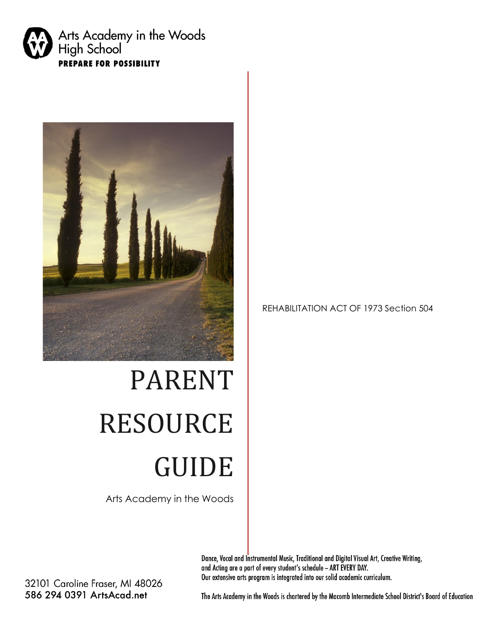



# PARENT RESOURCE GUIDE

Arts Academy in the Woods

#### REHABILITATION ACT OF 1973 Section 504

Dance, Vocal and Instrumental Music, Traditional and Digital Visual Art, Creative Writing, and Acting are a part of every student's schedule - ART EVERY DAY. Our extensive arts program is integrated into our solid academic curriculum.

32101 Caroline Fraser, MI 48026 586 294 0391 ArtsAcad.net

The Arts Academy in the Woods is chartered by the Macomb Intermediate School District's Board of Education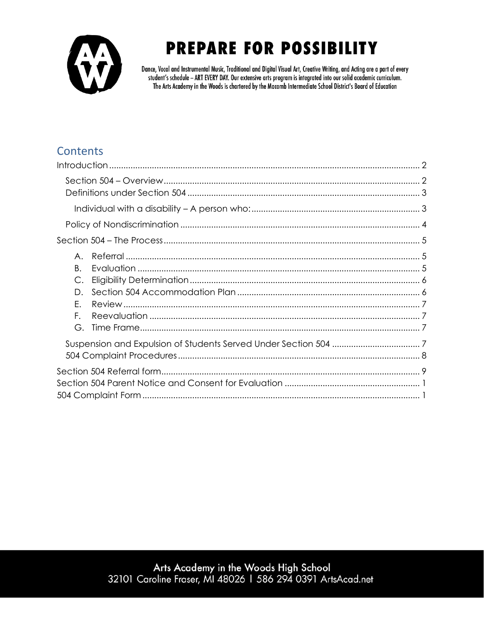

Dance, Vocal and Instrumental Music, Traditional and Digital Visual Art, Creative Writing, and Acting are a part of every student's schedule - ART EVERY DAY. Our extensive arts program is integrated into our solid academic curriculum. The Arts Academy in the Woods is chartered by the Macomb Intermediate School District's Board of Education

#### Contents

| $A_{1}$<br>Β.<br>C.<br>D.<br>Е.<br>F.<br>G. |  |
|---------------------------------------------|--|
|                                             |  |
|                                             |  |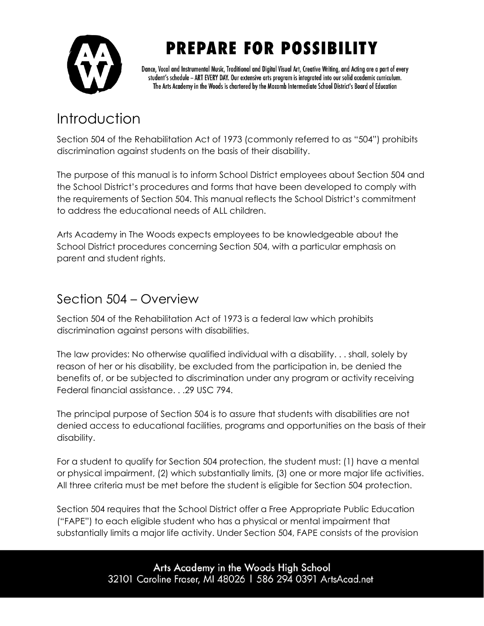

Dance, Vocal and Instrumental Music, Traditional and Digital Visual Art, Creative Writing, and Acting are a part of every student's schedule - ART EVERY DAY. Our extensive arts program is integrated into our solid academic curriculum. The Arts Academy in the Woods is chartered by the Macomb Intermediate School District's Board of Education

### <span id="page-2-0"></span>Introduction

Section 504 of the Rehabilitation Act of 1973 (commonly referred to as "504") prohibits discrimination against students on the basis of their disability.

The purpose of this manual is to inform School District employees about Section 504 and the School District's procedures and forms that have been developed to comply with the requirements of Section 504. This manual reflects the School District's commitment to address the educational needs of ALL children.

Arts Academy in The Woods expects employees to be knowledgeable about the School District procedures concerning Section 504, with a particular emphasis on parent and student rights.

#### <span id="page-2-1"></span>Section 504 – Overview

Section 504 of the Rehabilitation Act of 1973 is a federal law which prohibits discrimination against persons with disabilities.

The law provides: No otherwise qualified individual with a disability. . . shall, solely by reason of her or his disability, be excluded from the participation in, be denied the benefits of, or be subjected to discrimination under any program or activity receiving Federal financial assistance. . .29 USC 794.

The principal purpose of Section 504 is to assure that students with disabilities are not denied access to educational facilities, programs and opportunities on the basis of their disability.

For a student to qualify for Section 504 protection, the student must: (1) have a mental or physical impairment, (2) which substantially limits, (3) one or more major life activities. All three criteria must be met before the student is eligible for Section 504 protection.

Section 504 requires that the School District offer a Free Appropriate Public Education ("FAPE") to each eligible student who has a physical or mental impairment that substantially limits a major life activity. Under Section 504, FAPE consists of the provision

> Arts Academy in the Woods High School 32101 Caroline Fraser, MI 48026 | 586 294 0391 ArtsAcad.net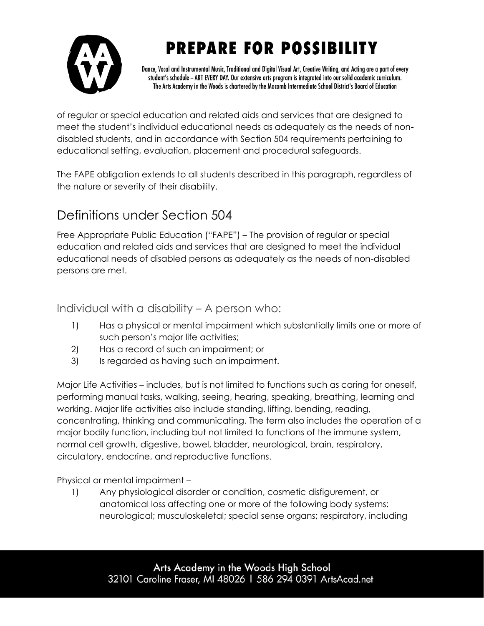

Dance, Vocal and Instrumental Music, Traditional and Digital Visual Art, Creative Writing, and Acting are a part of every student's schedule - ART EVERY DAY. Our extensive arts program is integrated into our solid academic curriculum. The Arts Academy in the Woods is chartered by the Macomb Intermediate School District's Board of Education

of regular or special education and related aids and services that are designed to meet the student's individual educational needs as adequately as the needs of nondisabled students, and in accordance with Section 504 requirements pertaining to educational setting, evaluation, placement and procedural safeguards.

The FAPE obligation extends to all students described in this paragraph, regardless of the nature or severity of their disability.

### <span id="page-3-0"></span>Definitions under Section 504

Free Appropriate Public Education ("FAPE") – The provision of regular or special education and related aids and services that are designed to meet the individual educational needs of disabled persons as adequately as the needs of non-disabled persons are met.

<span id="page-3-1"></span>Individual with a disability – A person who:

- 1) Has a physical or mental impairment which substantially limits one or more of such person's major life activities;
- 2) Has a record of such an impairment; or
- 3) Is regarded as having such an impairment.

Major Life Activities – includes, but is not limited to functions such as caring for oneself, performing manual tasks, walking, seeing, hearing, speaking, breathing, learning and working. Major life activities also include standing, lifting, bending, reading, concentrating, thinking and communicating. The term also includes the operation of a major bodily function, including but not limited to functions of the immune system, normal cell growth, digestive, bowel, bladder, neurological, brain, respiratory, circulatory, endocrine, and reproductive functions.

Physical or mental impairment –

1) Any physiological disorder or condition, cosmetic disfigurement, or anatomical loss affecting one or more of the following body systems: neurological; musculoskeletal; special sense organs; respiratory, including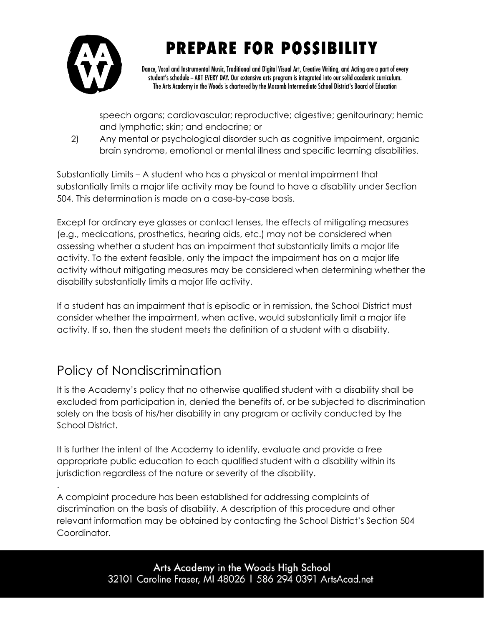

Dance, Vocal and Instrumental Music, Traditional and Digital Visual Art, Creative Writing, and Acting are a part of every student's schedule - ART EVERY DAY. Our extensive arts program is integrated into our solid academic curriculum. The Arts Academy in the Woods is chartered by the Macomb Intermediate School District's Board of Education

speech organs; cardiovascular; reproductive; digestive; genitourinary; hemic and lymphatic; skin; and endocrine; or

2) Any mental or psychological disorder such as cognitive impairment, organic brain syndrome, emotional or mental illness and specific learning disabilities.

Substantially Limits – A student who has a physical or mental impairment that substantially limits a major life activity may be found to have a disability under Section 504. This determination is made on a case-by-case basis.

Except for ordinary eye glasses or contact lenses, the effects of mitigating measures (e.g., medications, prosthetics, hearing aids, etc.) may not be considered when assessing whether a student has an impairment that substantially limits a major life activity. To the extent feasible, only the impact the impairment has on a major life activity without mitigating measures may be considered when determining whether the disability substantially limits a major life activity.

If a student has an impairment that is episodic or in remission, the School District must consider whether the impairment, when active, would substantially limit a major life activity. If so, then the student meets the definition of a student with a disability.

### <span id="page-4-0"></span>Policy of Nondiscrimination

.

It is the Academy's policy that no otherwise qualified student with a disability shall be excluded from participation in, denied the benefits of, or be subjected to discrimination solely on the basis of his/her disability in any program or activity conducted by the School District.

It is further the intent of the Academy to identify, evaluate and provide a free appropriate public education to each qualified student with a disability within its jurisdiction regardless of the nature or severity of the disability.

A complaint procedure has been established for addressing complaints of discrimination on the basis of disability. A description of this procedure and other relevant information may be obtained by contacting the School District's Section 504 Coordinator.

> Arts Academy in the Woods High School 32101 Caroline Fraser, MI 48026 | 586 294 0391 ArtsAcad.net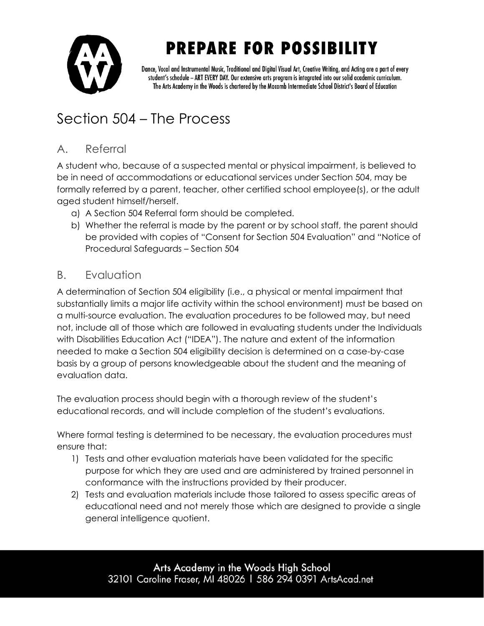

Dance, Vocal and Instrumental Music, Traditional and Digital Visual Art, Creative Writing, and Acting are a part of every student's schedule - ART EVERY DAY. Our extensive arts program is integrated into our solid academic curriculum. The Arts Academy in the Woods is chartered by the Macomb Intermediate School District's Board of Education

### <span id="page-5-0"></span>Section 504 – The Process

#### <span id="page-5-1"></span>A. Referral

A student who, because of a suspected mental or physical impairment, is believed to be in need of accommodations or educational services under Section 504, may be formally referred by a parent, teacher, other certified school employee(s), or the adult aged student himself/herself.

- a) A Section 504 Referral form should be completed.
- b) Whether the referral is made by the parent or by school staff, the parent should be provided with copies of "Consent for Section 504 Evaluation" and "Notice of Procedural Safeguards – Section 504

#### <span id="page-5-2"></span>B. Evaluation

A determination of Section 504 eligibility (i.e., a physical or mental impairment that substantially limits a major life activity within the school environment) must be based on a multi-source evaluation. The evaluation procedures to be followed may, but need not, include all of those which are followed in evaluating students under the Individuals with Disabilities Education Act ("IDEA"). The nature and extent of the information needed to make a Section 504 eligibility decision is determined on a case-by-case basis by a group of persons knowledgeable about the student and the meaning of evaluation data.

The evaluation process should begin with a thorough review of the student's educational records, and will include completion of the student's evaluations.

Where formal testing is determined to be necessary, the evaluation procedures must ensure that:

- 1) Tests and other evaluation materials have been validated for the specific purpose for which they are used and are administered by trained personnel in conformance with the instructions provided by their producer.
- 2) Tests and evaluation materials include those tailored to assess specific areas of educational need and not merely those which are designed to provide a single general intelligence quotient.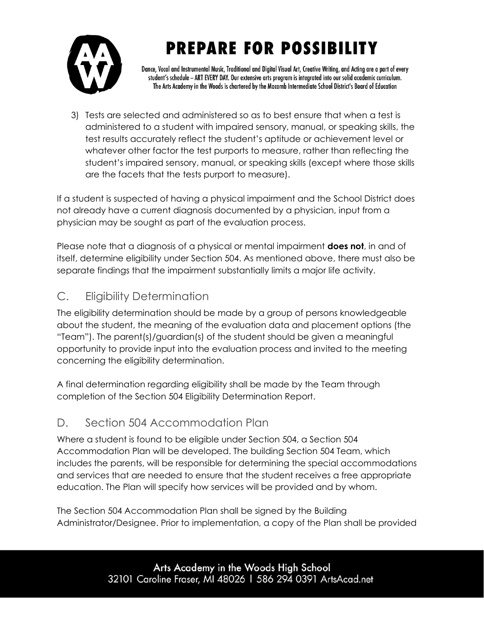

Dance, Vocal and Instrumental Music, Traditional and Digital Visual Art, Creative Writing, and Acting are a part of every student's schedule - ART EVERY DAY. Our extensive arts program is integrated into our solid academic curriculum. The Arts Academy in the Woods is chartered by the Macomb Intermediate School District's Board of Education

3) Tests are selected and administered so as to best ensure that when a test is administered to a student with impaired sensory, manual, or speaking skills, the test results accurately reflect the student's aptitude or achievement level or whatever other factor the test purports to measure, rather than reflecting the student's impaired sensory, manual, or speaking skills (except where those skills are the facets that the tests purport to measure).

If a student is suspected of having a physical impairment and the School District does not already have a current diagnosis documented by a physician, input from a physician may be sought as part of the evaluation process.

Please note that a diagnosis of a physical or mental impairment **does not**, in and of itself, determine eligibility under Section 504. As mentioned above, there must also be separate findings that the impairment substantially limits a major life activity.

#### <span id="page-6-0"></span>C. Eligibility Determination

The eligibility determination should be made by a group of persons knowledgeable about the student, the meaning of the evaluation data and placement options (the "Team"). The parent(s)/guardian(s) of the student should be given a meaningful opportunity to provide input into the evaluation process and invited to the meeting concerning the eligibility determination.

A final determination regarding eligibility shall be made by the Team through completion of the Section 504 Eligibility Determination Report.

#### <span id="page-6-1"></span>D. Section 504 Accommodation Plan

Where a student is found to be eligible under Section 504, a Section 504 Accommodation Plan will be developed. The building Section 504 Team, which includes the parents, will be responsible for determining the special accommodations and services that are needed to ensure that the student receives a free appropriate education. The Plan will specify how services will be provided and by whom.

The Section 504 Accommodation Plan shall be signed by the Building Administrator/Designee. Prior to implementation, a copy of the Plan shall be provided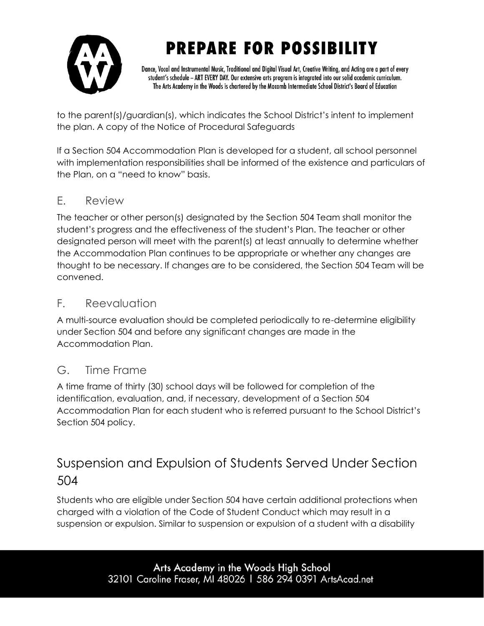

Dance, Vocal and Instrumental Music, Traditional and Digital Visual Art, Creative Writing, and Acting are a part of every student's schedule - ART EVERY DAY. Our extensive arts program is integrated into our solid academic curriculum. The Arts Academy in the Woods is chartered by the Macomb Intermediate School District's Board of Education

to the parent(s)/guardian(s), which indicates the School District's intent to implement the plan. A copy of the Notice of Procedural Safeguards

If a Section 504 Accommodation Plan is developed for a student, all school personnel with implementation responsibilities shall be informed of the existence and particulars of the Plan, on a "need to know" basis.

#### <span id="page-7-0"></span>E. Review

The teacher or other person(s) designated by the Section 504 Team shall monitor the student's progress and the effectiveness of the student's Plan. The teacher or other designated person will meet with the parent(s) at least annually to determine whether the Accommodation Plan continues to be appropriate or whether any changes are thought to be necessary. If changes are to be considered, the Section 504 Team will be convened.

#### <span id="page-7-1"></span>F. Reevaluation

A multi-source evaluation should be completed periodically to re-determine eligibility under Section 504 and before any significant changes are made in the Accommodation Plan.

#### <span id="page-7-2"></span>G. Time Frame

A time frame of thirty (30) school days will be followed for completion of the identification, evaluation, and, if necessary, development of a Section 504 Accommodation Plan for each student who is referred pursuant to the School District's Section 504 policy.

### <span id="page-7-3"></span>Suspension and Expulsion of Students Served Under Section 504

Students who are eligible under Section 504 have certain additional protections when charged with a violation of the Code of Student Conduct which may result in a suspension or expulsion. Similar to suspension or expulsion of a student with a disability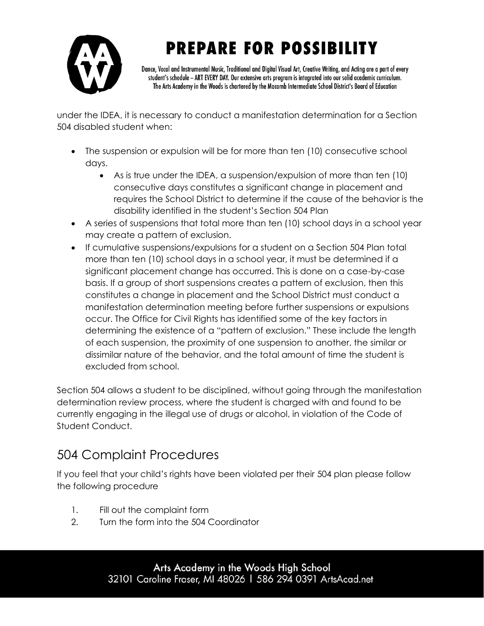

Dance, Vocal and Instrumental Music, Traditional and Digital Visual Art, Creative Writing, and Acting are a part of every student's schedule - ART EVERY DAY. Our extensive arts program is integrated into our solid academic curriculum. The Arts Academy in the Woods is chartered by the Macomb Intermediate School District's Board of Education

under the IDEA, it is necessary to conduct a manifestation determination for a Section 504 disabled student when:

- The suspension or expulsion will be for more than ten (10) consecutive school days.
	- As is true under the IDEA, a suspension/expulsion of more than ten (10) consecutive days constitutes a significant change in placement and requires the School District to determine if the cause of the behavior is the disability identified in the student's Section 504 Plan
- A series of suspensions that total more than ten (10) school days in a school year may create a pattern of exclusion.
- If cumulative suspensions/expulsions for a student on a Section 504 Plan total more than ten (10) school days in a school year, it must be determined if a significant placement change has occurred. This is done on a case-by-case basis. If a group of short suspensions creates a pattern of exclusion, then this constitutes a change in placement and the School District must conduct a manifestation determination meeting before further suspensions or expulsions occur. The Office for Civil Rights has identified some of the key factors in determining the existence of a "pattern of exclusion." These include the length of each suspension, the proximity of one suspension to another, the similar or dissimilar nature of the behavior, and the total amount of time the student is excluded from school.

Section 504 allows a student to be disciplined, without going through the manifestation determination review process, where the student is charged with and found to be currently engaging in the illegal use of drugs or alcohol, in violation of the Code of Student Conduct.

### <span id="page-8-0"></span>504 Complaint Procedures

If you feel that your child's rights have been violated per their 504 plan please follow the following procedure

- 1. Fill out the complaint form
- 2. Turn the form into the 504 Coordinator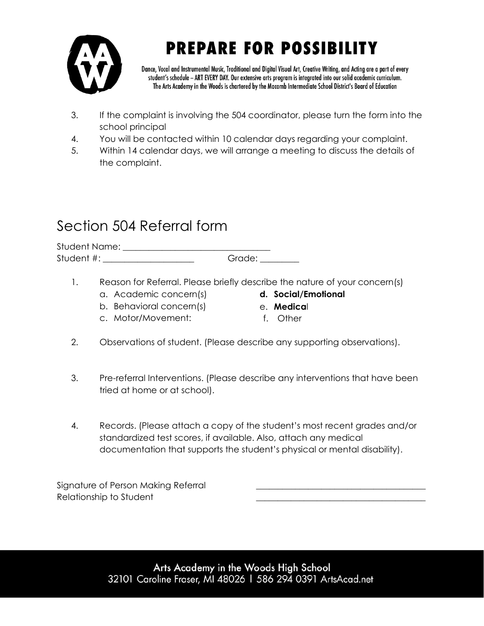

Dance, Vocal and Instrumental Music, Traditional and Digital Visual Art, Creative Writing, and Acting are a part of every student's schedule - ART EVERY DAY. Our extensive arts program is integrated into our solid academic curriculum. The Arts Academy in the Woods is chartered by the Macomb Intermediate School District's Board of Education

- 3. If the complaint is involving the 504 coordinator, please turn the form into the school principal
- 4. You will be contacted within 10 calendar days regarding your complaint.
- 5. Within 14 calendar days, we will arrange a meeting to discuss the details of the complaint.

### <span id="page-9-0"></span>Section 504 Referral form

Student Name:  $\Box$ Student #: \_\_\_\_\_\_\_\_\_\_\_\_\_\_\_\_\_\_\_\_\_\_\_\_\_\_\_\_Grade: \_\_\_\_\_\_\_\_\_\_\_\_\_\_\_\_\_\_\_\_\_\_\_\_\_\_\_\_\_\_\_\_\_\_

- 1. Reason for Referral. Please briefly describe the nature of your concern(s)
	- a. Academic concern(s)
- **d. Social/Emotional**
- b. Behavioral concern(s)
- c. Motor/Movement:
- e. **Medica**l f. Other
- 2. Observations of student. (Please describe any supporting observations).
- 3. Pre-referral Interventions. (Please describe any interventions that have been tried at home or at school).
- 4. Records. (Please attach a copy of the student's most recent grades and/or standardized test scores, if available. Also, attach any medical documentation that supports the student's physical or mental disability).

Signature of Person Making Referral Relationship to Student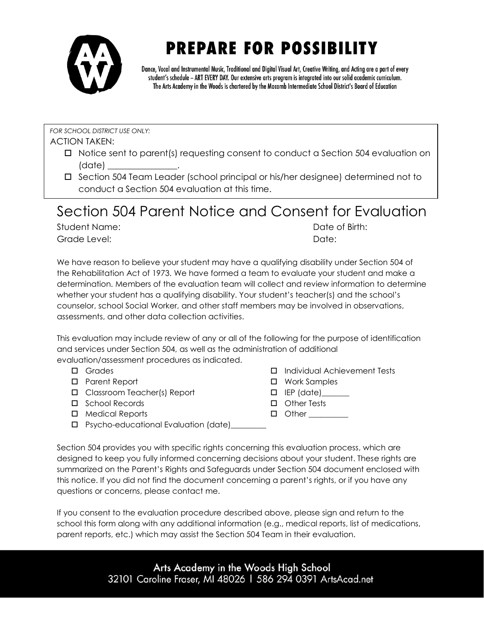

Dance, Vocal and Instrumental Music, Traditional and Digital Visual Art, Creative Writing, and Acting are a part of every student's schedule - ART EVERY DAY. Our extensive arts program is integrated into our solid academic curriculum. The Arts Academy in the Woods is chartered by the Macomb Intermediate School District's Board of Education

*FOR SCHOOL DISTRICT USE ONLY:* 

ACTION TAKEN:

- $\Box$  Notice sent to parent(s) requesting consent to conduct a Section 504 evaluation on (date) \_\_\_\_\_\_\_\_\_\_\_\_\_\_\_\_.
- □ Section 504 Team Leader (school principal or his/her designee) determined not to conduct a Section 504 evaluation at this time.

### <span id="page-10-0"></span>Section 504 Parent Notice and Consent for Evaluation

Student Name: Date of Birth: Grade Level: Notice that the contract of the Date: Date:

We have reason to believe your student may have a qualifying disability under Section 504 of the Rehabilitation Act of 1973. We have formed a team to evaluate your student and make a determination. Members of the evaluation team will collect and review information to determine whether your student has a qualifying disability. Your student's teacher(s) and the school's counselor, school Social Worker, and other staff members may be involved in observations, assessments, and other data collection activities.

This evaluation may include review of any or all of the following for the purpose of identification and services under Section 504, as well as the administration of additional evaluation/assessment procedures as indicated.

- □ Grades
- □ Parent Report
- □ Classroom Teacher(s) Report
- □ School Records
- Medical Reports
- $\Box$  IEP (date)
	- Other Tests  $\Box$  Other

Work Samples

□ Psycho-educational Evaluation (date)\_

Individual Achievement Tests

Section 504 provides you with specific rights concerning this evaluation process, which are designed to keep you fully informed concerning decisions about your student. These rights are summarized on the Parent's Rights and Safeguards under Section 504 document enclosed with this notice. If you did not find the document concerning a parent's rights, or if you have any questions or concerns, please contact me.

If you consent to the evaluation procedure described above, please sign and return to the school this form along with any additional information (e.g., medical reports, list of medications, parent reports, etc.) which may assist the Section 504 Team in their evaluation.

> Arts Academy in the Woods High School 32101 Caroline Fraser, MI 48026 | 586 294 0391 ArtsAcad.net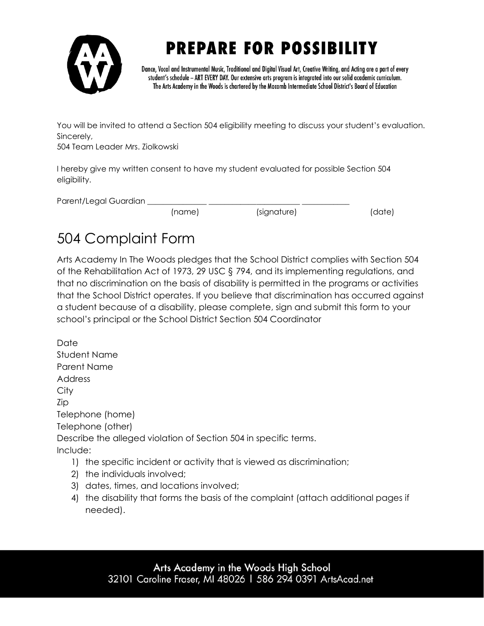

Dance, Vocal and Instrumental Music, Traditional and Digital Visual Art, Creative Writing, and Acting are a part of every student's schedule - ART EVERY DAY. Our extensive arts program is integrated into our solid academic curriculum. The Arts Academy in the Woods is chartered by the Macomb Intermediate School District's Board of Education

You will be invited to attend a Section 504 eligibility meeting to discuss your student's evaluation. Sincerely,

504 Team Leader Mrs. Ziolkowski

I hereby give my written consent to have my student evaluated for possible Section 504 eligibility.

| Parent/Legal Guardian |        |             |        |
|-----------------------|--------|-------------|--------|
|                       | (name) | (signature) | (date) |

### <span id="page-11-0"></span>504 Complaint Form

Arts Academy In The Woods pledges that the School District complies with Section 504 of the Rehabilitation Act of 1973, 29 USC § 794, and its implementing regulations, and that no discrimination on the basis of disability is permitted in the programs or activities that the School District operates. If you believe that discrimination has occurred against a student because of a disability, please complete, sign and submit this form to your school's principal or the School District Section 504 Coordinator

Date Student Name Parent Name **Address City** Zip Telephone (home) Telephone (other) Describe the alleged violation of Section 504 in specific terms. Include:

- 1) the specific incident or activity that is viewed as discrimination;
- 2) the individuals involved;
- 3) dates, times, and locations involved;
- 4) the disability that forms the basis of the complaint (attach additional pages if needed).